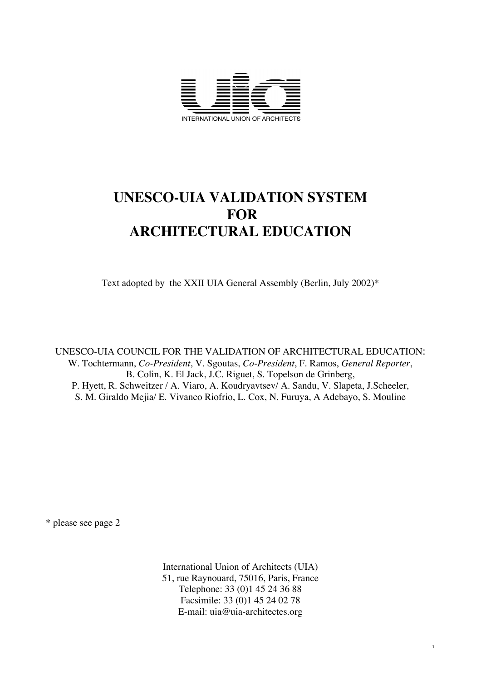

# **UNESCO-UIA VALIDATION SYSTEM FOR ARCHITECTURAL EDUCATION**

Text adopted by the XXII UIA General Assembly (Berlin, July 2002)\*

UNESCO-UIA COUNCIL FOR THE VALIDATION OF ARCHITECTURAL EDUCATION: W. Tochtermann, *Co-President*, V. Sgoutas, *Co-President*, F. Ramos, *General Reporter*, B. Colin, K. El Jack, J.C. Riguet, S. Topelson de Grinberg, P. Hyett, R. Schweitzer / A. Viaro, A. Koudryavtsev/ A. Sandu, V. Slapeta, J.Scheeler, S. M. Giraldo Mejia/ E. Vivanco Riofrio, L. Cox, N. Furuya, A Adebayo, S. Mouline

\* please see page 2

International Union of Architects (UIA) 51, rue Raynouard, 75016, Paris, France Telephone: 33 (0)1 45 24 36 88 Facsimile: 33 (0)1 45 24 02 78 E-mail: uia@uia-architectes.org

1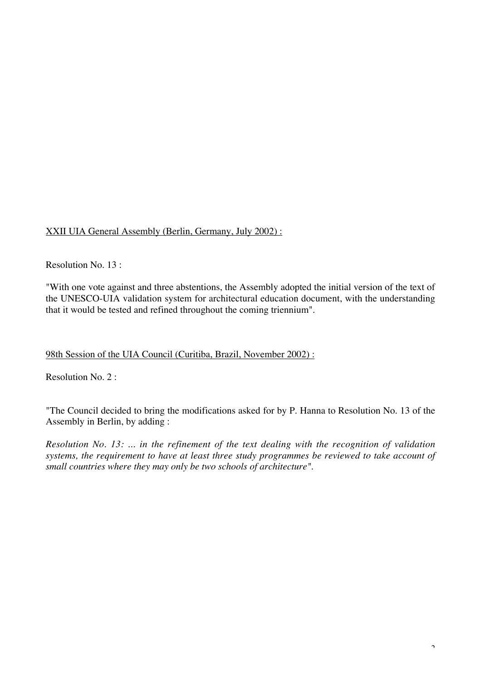# XXII UIA General Assembly (Berlin, Germany, July 2002) :

Resolution No. 13 :

"With one vote against and three abstentions, the Assembly adopted the initial version of the text of the UNESCO-UIA validation system for architectural education document, with the understanding that it would be tested and refined throughout the coming triennium".

## 98th Session of the UIA Council (Curitiba, Brazil, November 2002) :

Resolution No. 2 :

"The Council decided to bring the modifications asked for by P. Hanna to Resolution No. 13 of the Assembly in Berlin, by adding :

*Resolution No. 13: ... in the refinement of the text dealing with the recognition of validation systems, the requirement to have at least three study programmes be reviewed to take account of small countries where they may only be two schools of architecture".*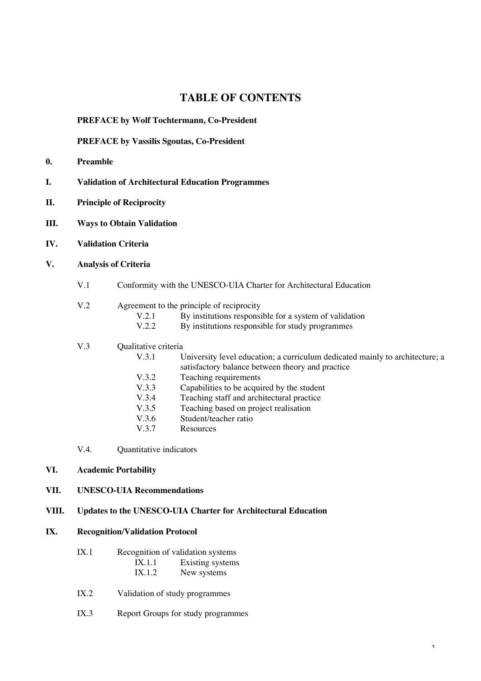# **TABLE OF CONTENTS**

## **PREFACE by Wolf Tochtermann, Co-President**

## **PREFACE by Vassilis Sgoutas, Co-President**

- **0. Preamble**
- **I. Validation of Architectural Education Programmes**
- **II. Principle of Reciprocity**
- **III. Ways to Obtain Validation**
- **IV. Validation Criteria**
- **V. Analysis of Criteria**
	- V.1 Conformity with the UNESCO-UIA Charter for Architectural Education

## V.2 Agreement to the principle of reciprocity

| V.2.1 | By institutions responsible for a system of validation |
|-------|--------------------------------------------------------|
| V.2.2 | By institutions responsible for study programmes       |

## V.3 Qualitative criteria

| V.3.1 | University level education; a curriculum dedicated mainly to architecture; a |
|-------|------------------------------------------------------------------------------|
|       | satisfactory balance between theory and practice                             |
| V.3.2 | Teaching requirements                                                        |
| V.3.3 | Capabilities to be acquired by the student                                   |
| V.3.4 | Teaching staff and architectural practice                                    |
| V.3.5 | Teaching based on project realisation                                        |
| V.3.6 | Student/teacher ratio                                                        |
| V.3.7 | Resources                                                                    |

V.4. Quantitative indicators

## **VI. Academic Portability**

## **VII. UNESCO-UIA Recommendations**

## **VIII. Updates to the UNESCO-UIA Charter for Architectural Education**

## **IX. Recognition/Validation Protocol**

| IX.1 |        | Recognition of validation systems |
|------|--------|-----------------------------------|
|      | IX.1.1 | Existing systems                  |
|      | IX.1.2 | New systems                       |

- IX.2 Validation of study programmes
- IX.3 Report Groups for study programmes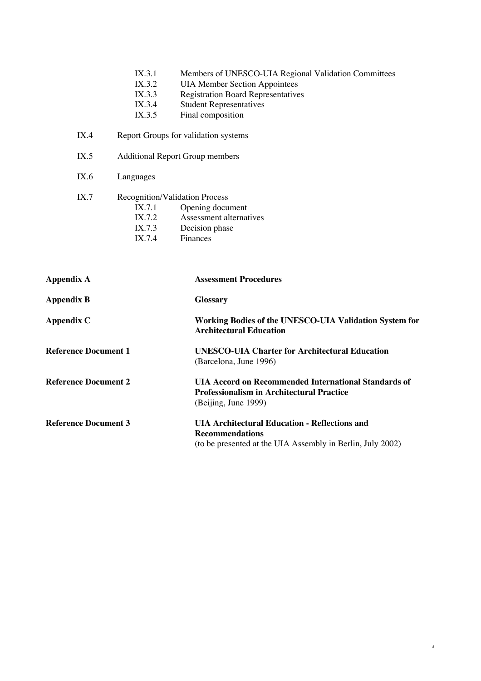| IX.3.1 |  | Members of UNESCO-UIA Regional Validation Committees |  |
|--------|--|------------------------------------------------------|--|
|--------|--|------------------------------------------------------|--|

- IX.3.2 UIA Member Section Appointees<br>IX.3.3 Registration Board Representative
- IX.3.3 Registration Board Representatives<br>IX.3.4 Student Representatives
- IX.3.4 Student Representatives<br>IX.3.5 Final composition
- Final composition
- IX.4 Report Groups for validation systems
- IX.5 Additional Report Group members
- IX.6 Languages
- IX.7 Recognition/Validation Process
	- IX.7.1 Opening document<br>IX.7.2 Assessment alternat
	- IX.7.2 Assessment alternatives<br>IX.7.3 Decision phase
	- IX.7.3 Decision phase<br>IX.7.4 Finances
	- Finances

| Appendix A                  | <b>Assessment Procedures</b>                                                                                                                 |
|-----------------------------|----------------------------------------------------------------------------------------------------------------------------------------------|
| <b>Appendix B</b>           | <b>Glossary</b>                                                                                                                              |
| Appendix C                  | Working Bodies of the UNESCO-UIA Validation System for<br><b>Architectural Education</b>                                                     |
| <b>Reference Document 1</b> | <b>UNESCO-UIA Charter for Architectural Education</b><br>(Barcelona, June 1996)                                                              |
| <b>Reference Document 2</b> | UIA Accord on Recommended International Standards of<br><b>Professionalism in Architectural Practice</b><br>(Beijing, June 1999)             |
| <b>Reference Document 3</b> | <b>UIA Architectural Education - Reflections and</b><br><b>Recommendations</b><br>(to be presented at the UIA Assembly in Berlin, July 2002) |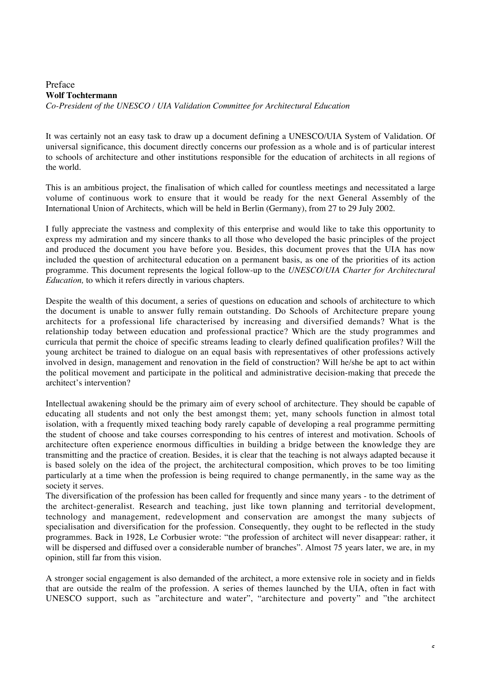#### Preface **Wolf Tochtermann** *Co-President of the UNESCO / UIA Validation Committee for Architectural Education*

It was certainly not an easy task to draw up a document defining a UNESCO/UIA System of Validation. Of universal significance, this document directly concerns our profession as a whole and is of particular interest to schools of architecture and other institutions responsible for the education of architects in all regions of the world.

This is an ambitious project, the finalisation of which called for countless meetings and necessitated a large volume of continuous work to ensure that it would be ready for the next General Assembly of the International Union of Architects, which will be held in Berlin (Germany), from 27 to 29 July 2002.

I fully appreciate the vastness and complexity of this enterprise and would like to take this opportunity to express my admiration and my sincere thanks to all those who developed the basic principles of the project and produced the document you have before you. Besides, this document proves that the UIA has now included the question of architectural education on a permanent basis, as one of the priorities of its action programme. This document represents the logical follow-up to the *UNESCO/UIA Charter for Architectural Education,* to which it refers directly in various chapters.

Despite the wealth of this document, a series of questions on education and schools of architecture to which the document is unable to answer fully remain outstanding. Do Schools of Architecture prepare young architects for a professional life characterised by increasing and diversified demands? What is the relationship today between education and professional practice? Which are the study programmes and curricula that permit the choice of specific streams leading to clearly defined qualification profiles? Will the young architect be trained to dialogue on an equal basis with representatives of other professions actively involved in design, management and renovation in the field of construction? Will he/she be apt to act within the political movement and participate in the political and administrative decision-making that precede the architect's intervention?

Intellectual awakening should be the primary aim of every school of architecture. They should be capable of educating all students and not only the best amongst them; yet, many schools function in almost total isolation, with a frequently mixed teaching body rarely capable of developing a real programme permitting the student of choose and take courses corresponding to his centres of interest and motivation. Schools of architecture often experience enormous difficulties in building a bridge between the knowledge they are transmitting and the practice of creation. Besides, it is clear that the teaching is not always adapted because it is based solely on the idea of the project, the architectural composition, which proves to be too limiting particularly at a time when the profession is being required to change permanently, in the same way as the society it serves.

The diversification of the profession has been called for frequently and since many years - to the detriment of the architect-generalist. Research and teaching, just like town planning and territorial development, technology and management, redevelopment and conservation are amongst the many subjects of specialisation and diversification for the profession. Consequently, they ought to be reflected in the study programmes. Back in 1928, Le Corbusier wrote: "the profession of architect will never disappear: rather, it will be dispersed and diffused over a considerable number of branches". Almost 75 years later, we are, in my opinion, still far from this vision.

A stronger social engagement is also demanded of the architect, a more extensive role in society and in fields that are outside the realm of the profession. A series of themes launched by the UIA, often in fact with UNESCO support, such as "architecture and water", "architecture and poverty" and "the architect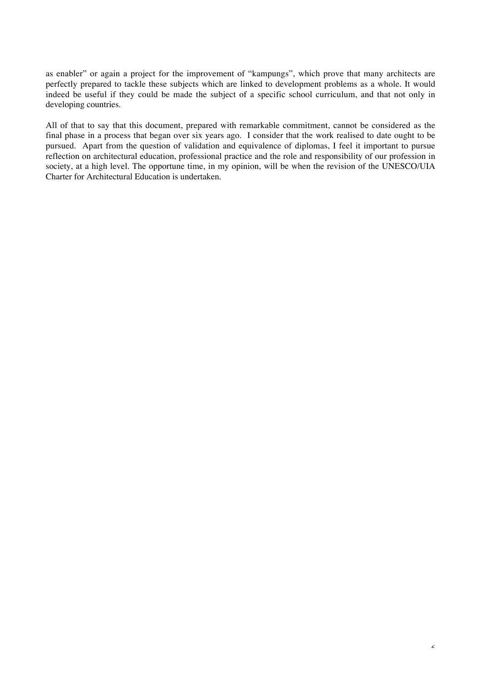as enabler" or again a project for the improvement of "kampungs", which prove that many architects are perfectly prepared to tackle these subjects which are linked to development problems as a whole. It would indeed be useful if they could be made the subject of a specific school curriculum, and that not only in developing countries.

All of that to say that this document, prepared with remarkable commitment, cannot be considered as the final phase in a process that began over six years ago. I consider that the work realised to date ought to be pursued. Apart from the question of validation and equivalence of diplomas, I feel it important to pursue reflection on architectural education, professional practice and the role and responsibility of our profession in society, at a high level. The opportune time, in my opinion, will be when the revision of the UNESCO/UIA Charter for Architectural Education is undertaken.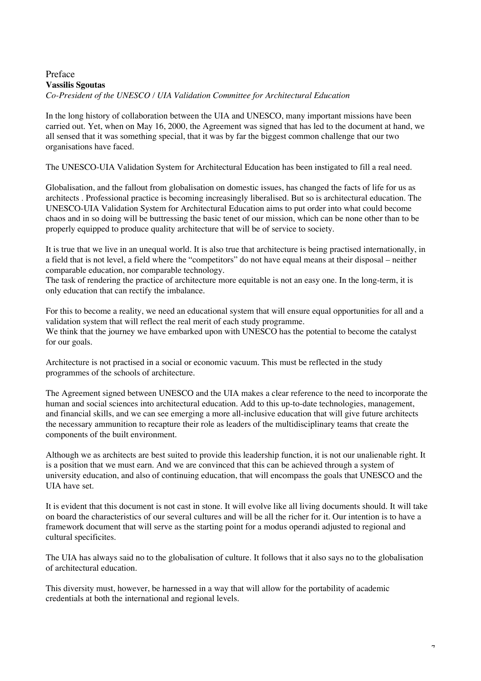## Preface **Vassilis Sgoutas** *Co-President of the UNESCO / UIA Validation Committee for Architectural Education*

In the long history of collaboration between the UIA and UNESCO, many important missions have been carried out. Yet, when on May 16, 2000, the Agreement was signed that has led to the document at hand, we all sensed that it was something special, that it was by far the biggest common challenge that our two organisations have faced.

The UNESCO-UIA Validation System for Architectural Education has been instigated to fill a real need.

Globalisation, and the fallout from globalisation on domestic issues, has changed the facts of life for us as architects . Professional practice is becoming increasingly liberalised. But so is architectural education. The UNESCO-UIA Validation System for Architectural Education aims to put order into what could become chaos and in so doing will be buttressing the basic tenet of our mission, which can be none other than to be properly equipped to produce quality architecture that will be of service to society.

It is true that we live in an unequal world. It is also true that architecture is being practised internationally, in a field that is not level, a field where the "competitors" do not have equal means at their disposal – neither comparable education, nor comparable technology.

The task of rendering the practice of architecture more equitable is not an easy one. In the long-term, it is only education that can rectify the imbalance.

For this to become a reality, we need an educational system that will ensure equal opportunities for all and a validation system that will reflect the real merit of each study programme. We think that the journey we have embarked upon with UNESCO has the potential to become the catalyst for our goals.

Architecture is not practised in a social or economic vacuum. This must be reflected in the study programmes of the schools of architecture.

The Agreement signed between UNESCO and the UIA makes a clear reference to the need to incorporate the human and social sciences into architectural education. Add to this up-to-date technologies, management, and financial skills, and we can see emerging a more all-inclusive education that will give future architects the necessary ammunition to recapture their role as leaders of the multidisciplinary teams that create the components of the built environment.

Although we as architects are best suited to provide this leadership function, it is not our unalienable right. It is a position that we must earn. And we are convinced that this can be achieved through a system of university education, and also of continuing education, that will encompass the goals that UNESCO and the UIA have set.

It is evident that this document is not cast in stone. It will evolve like all living documents should. It will take on board the characteristics of our several cultures and will be all the richer for it. Our intention is to have a framework document that will serve as the starting point for a modus operandi adjusted to regional and cultural specificites.

The UIA has always said no to the globalisation of culture. It follows that it also says no to the globalisation of architectural education.

This diversity must, however, be harnessed in a way that will allow for the portability of academic credentials at both the international and regional levels.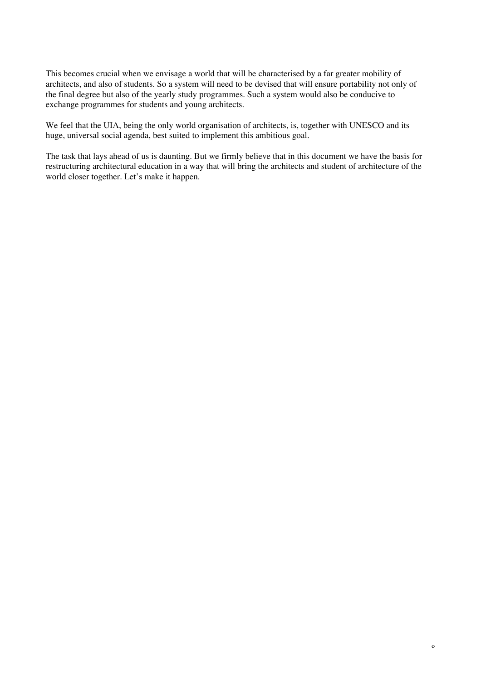This becomes crucial when we envisage a world that will be characterised by a far greater mobility of architects, and also of students. So a system will need to be devised that will ensure portability not only of the final degree but also of the yearly study programmes. Such a system would also be conducive to exchange programmes for students and young architects.

We feel that the UIA, being the only world organisation of architects, is, together with UNESCO and its huge, universal social agenda, best suited to implement this ambitious goal.

The task that lays ahead of us is daunting. But we firmly believe that in this document we have the basis for restructuring architectural education in a way that will bring the architects and student of architecture of the world closer together. Let's make it happen.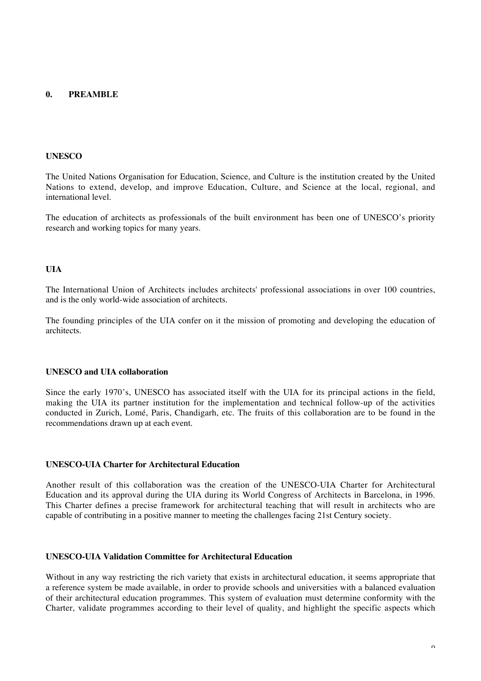## **0. PREAMBLE**

#### **UNESCO**

The United Nations Organisation for Education, Science, and Culture is the institution created by the United Nations to extend, develop, and improve Education, Culture, and Science at the local, regional, and international level.

The education of architects as professionals of the built environment has been one of UNESCO's priority research and working topics for many years.

#### **UIA**

The International Union of Architects includes architects' professional associations in over 100 countries, and is the only world-wide association of architects.

The founding principles of the UIA confer on it the mission of promoting and developing the education of architects.

#### **UNESCO and UIA collaboration**

Since the early 1970's, UNESCO has associated itself with the UIA for its principal actions in the field, making the UIA its partner institution for the implementation and technical follow-up of the activities conducted in Zurich, Lomé, Paris, Chandigarh, etc. The fruits of this collaboration are to be found in the recommendations drawn up at each event.

#### **UNESCO-UIA Charter for Architectural Education**

Another result of this collaboration was the creation of the UNESCO-UIA Charter for Architectural Education and its approval during the UIA during its World Congress of Architects in Barcelona, in 1996. This Charter defines a precise framework for architectural teaching that will result in architects who are capable of contributing in a positive manner to meeting the challenges facing 21st Century society.

#### **UNESCO-UIA Validation Committee for Architectural Education**

Without in any way restricting the rich variety that exists in architectural education, it seems appropriate that a reference system be made available, in order to provide schools and universities with a balanced evaluation of their architectural education programmes. This system of evaluation must determine conformity with the Charter, validate programmes according to their level of quality, and highlight the specific aspects which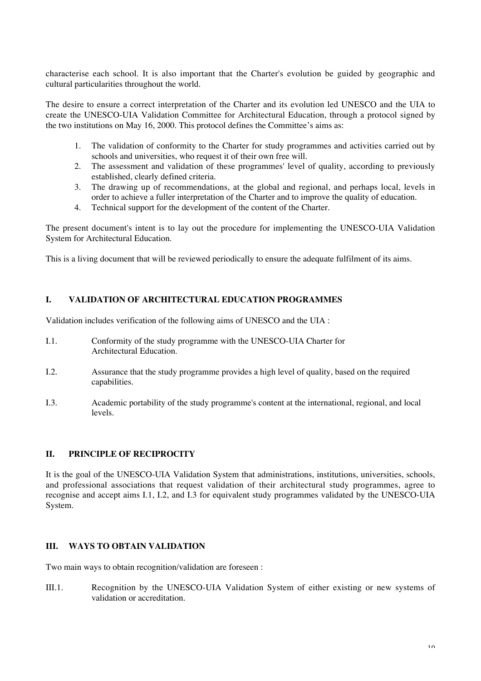characterise each school. It is also important that the Charter's evolution be guided by geographic and cultural particularities throughout the world.

The desire to ensure a correct interpretation of the Charter and its evolution led UNESCO and the UIA to create the UNESCO-UIA Validation Committee for Architectural Education, through a protocol signed by the two institutions on May 16, 2000. This protocol defines the Committee's aims as:

- 1. The validation of conformity to the Charter for study programmes and activities carried out by schools and universities, who request it of their own free will.
- 2. The assessment and validation of these programmes' level of quality, according to previously established, clearly defined criteria.
- 3. The drawing up of recommendations, at the global and regional, and perhaps local, levels in order to achieve a fuller interpretation of the Charter and to improve the quality of education.
- 4. Technical support for the development of the content of the Charter.

The present document's intent is to lay out the procedure for implementing the UNESCO-UIA Validation System for Architectural Education.

This is a living document that will be reviewed periodically to ensure the adequate fulfilment of its aims.

## **I. VALIDATION OF ARCHITECTURAL EDUCATION PROGRAMMES**

Validation includes verification of the following aims of UNESCO and the UIA :

- I.1. Conformity of the study programme with the UNESCO-UIA Charter for Architectural Education.
- I.2. Assurance that the study programme provides a high level of quality, based on the required capabilities.
- I.3. Academic portability of the study programme's content at the international, regional, and local levels.

## **II. PRINCIPLE OF RECIPROCITY**

It is the goal of the UNESCO-UIA Validation System that administrations, institutions, universities, schools, and professional associations that request validation of their architectural study programmes, agree to recognise and accept aims I.1, I.2, and I.3 for equivalent study programmes validated by the UNESCO-UIA System.

## **III. WAYS TO OBTAIN VALIDATION**

Two main ways to obtain recognition/validation are foreseen :

III.1. Recognition by the UNESCO-UIA Validation System of either existing or new systems of validation or accreditation.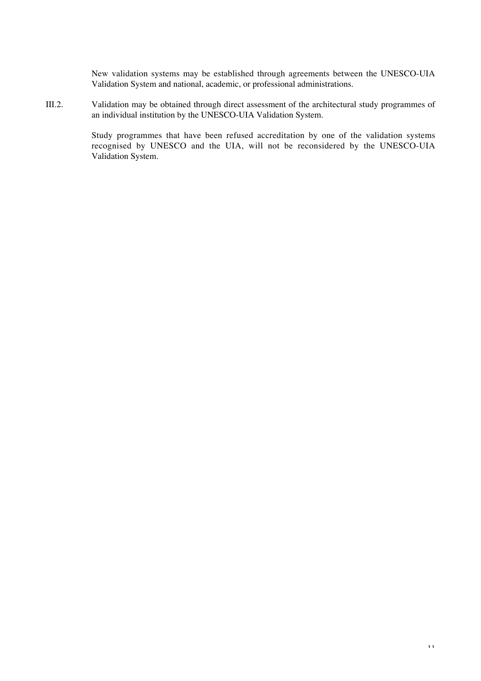New validation systems may be established through agreements between the UNESCO-UIA Validation System and national, academic, or professional administrations.

III.2. Validation may be obtained through direct assessment of the architectural study programmes of an individual institution by the UNESCO-UIA Validation System.

> Study programmes that have been refused accreditation by one of the validation systems recognised by UNESCO and the UIA, will not be reconsidered by the UNESCO-UIA Validation System.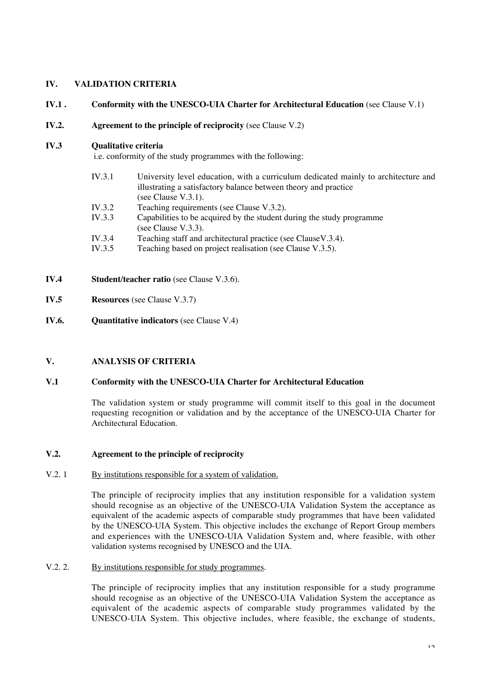## **IV. VALIDATION CRITERIA**

## **IV.1 . Conformity with the UNESCO-UIA Charter for Architectural Education** (see Clause V.1)

**IV.2. Agreement to the principle of reciprocity** (see Clause V.2)

## **IV.3 Qualitative criteria**

i.e. conformity of the study programmes with the following:

- IV.3.1 University level education, with a curriculum dedicated mainly to architecture and illustrating a satisfactory balance between theory and practice (see Clause V.3.1). IV.3.2 Teaching requirements (see Clause V.3.2). IV.3.3 Capabilities to be acquired by the student during the study programme
	- (see Clause V.3.3).
- IV.3.4 Teaching staff and architectural practice (see ClauseV.3.4).
- IV.3.5 Teaching based on project realisation (see Clause V.3.5).
- **IV.4 Student/teacher ratio** (see Clause V.3.6).
- **IV.5 Resources** (see Clause V.3.7)
- **IV.6. Quantitative indicators** (see Clause V.4)

## **V. ANALYSIS OF CRITERIA**

## **V.1 Conformity with the UNESCO-UIA Charter for Architectural Education**

The validation system or study programme will commit itself to this goal in the document requesting recognition or validation and by the acceptance of the UNESCO-UIA Charter for Architectural Education.

#### **V.2. Agreement to the principle of reciprocity**

#### V.2. 1 By institutions responsible for a system of validation.

The principle of reciprocity implies that any institution responsible for a validation system should recognise as an objective of the UNESCO-UIA Validation System the acceptance as equivalent of the academic aspects of comparable study programmes that have been validated by the UNESCO-UIA System. This objective includes the exchange of Report Group members and experiences with the UNESCO-UIA Validation System and, where feasible, with other validation systems recognised by UNESCO and the UIA.

## V.2. 2. By institutions responsible for study programmes.

The principle of reciprocity implies that any institution responsible for a study programme should recognise as an objective of the UNESCO-UIA Validation System the acceptance as equivalent of the academic aspects of comparable study programmes validated by the UNESCO-UIA System. This objective includes, where feasible, the exchange of students,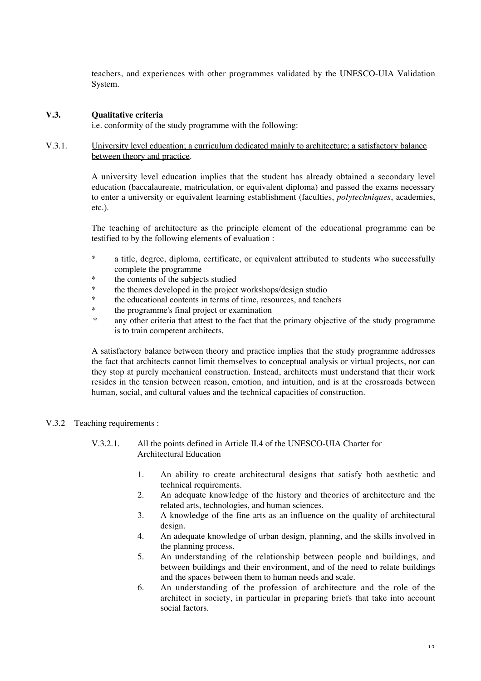teachers, and experiences with other programmes validated by the UNESCO-UIA Validation System.

## **V.3. Qualitative criteria**

i.e. conformity of the study programme with the following:

V.3.1. University level education; a curriculum dedicated mainly to architecture; a satisfactory balance between theory and practice.

> A university level education implies that the student has already obtained a secondary level education (baccalaureate, matriculation, or equivalent diploma) and passed the exams necessary to enter a university or equivalent learning establishment (faculties, *polytechniques*, academies, etc.).

> The teaching of architecture as the principle element of the educational programme can be testified to by the following elements of evaluation :

- \* a title, degree, diploma, certificate, or equivalent attributed to students who successfully complete the programme
- \* the contents of the subjects studied
- \* the themes developed in the project workshops/design studio<br>\* the educational contents is terms of time accuracy and tool
- the educational contents in terms of time, resources, and teachers
- \* the programme's final project or examination
- \* any other criteria that attest to the fact that the primary objective of the study programme is to train competent architects.

A satisfactory balance between theory and practice implies that the study programme addresses the fact that architects cannot limit themselves to conceptual analysis or virtual projects, nor can they stop at purely mechanical construction. Instead, architects must understand that their work resides in the tension between reason, emotion, and intuition, and is at the crossroads between human, social, and cultural values and the technical capacities of construction.

## V.3.2 Teaching requirements :

- V.3.2.1. All the points defined in Article II.4 of the UNESCO-UIA Charter for Architectural Education
	- 1. An ability to create architectural designs that satisfy both aesthetic and technical requirements.
	- 2. An adequate knowledge of the history and theories of architecture and the related arts, technologies, and human sciences.
	- 3. A knowledge of the fine arts as an influence on the quality of architectural design.
	- 4. An adequate knowledge of urban design, planning, and the skills involved in the planning process.
	- 5. An understanding of the relationship between people and buildings, and between buildings and their environment, and of the need to relate buildings and the spaces between them to human needs and scale.
	- 6. An understanding of the profession of architecture and the role of the architect in society, in particular in preparing briefs that take into account social factors.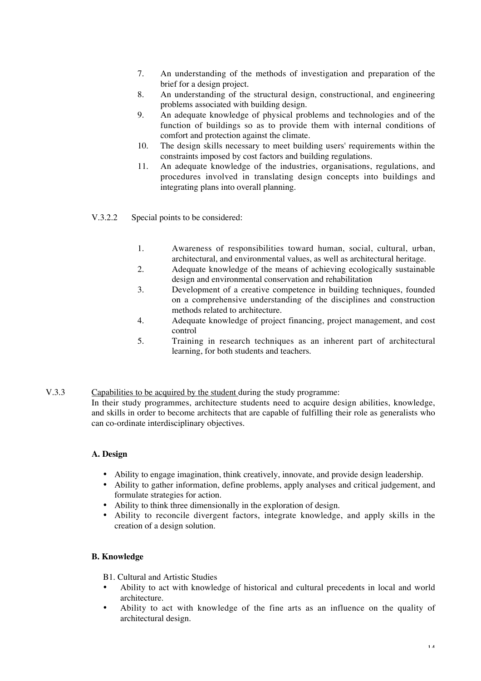- 7. An understanding of the methods of investigation and preparation of the brief for a design project.
- 8. An understanding of the structural design, constructional, and engineering problems associated with building design.
- 9. An adequate knowledge of physical problems and technologies and of the function of buildings so as to provide them with internal conditions of comfort and protection against the climate.
- 10. The design skills necessary to meet building users' requirements within the constraints imposed by cost factors and building regulations.
- 11. An adequate knowledge of the industries, organisations, regulations, and procedures involved in translating design concepts into buildings and integrating plans into overall planning.
- V.3.2.2 Special points to be considered:
	- 1. Awareness of responsibilities toward human, social, cultural, urban, architectural, and environmental values, as well as architectural heritage.
	- 2. Adequate knowledge of the means of achieving ecologically sustainable design and environmental conservation and rehabilitation
	- 3. Development of a creative competence in building techniques, founded on a comprehensive understanding of the disciplines and construction methods related to architecture.
	- 4. Adequate knowledge of project financing, project management, and cost control
	- 5. Training in research techniques as an inherent part of architectural learning, for both students and teachers.

## V.3.3 Capabilities to be acquired by the student during the study programme: In their study programmes, architecture students need to acquire design abilities, knowledge, and skills in order to become architects that are capable of fulfilling their role as generalists who can co-ordinate interdisciplinary objectives.

## **A. Design**

- Ability to engage imagination, think creatively, innovate, and provide design leadership.
- Ability to gather information, define problems, apply analyses and critical judgement, and formulate strategies for action.
- Ability to think three dimensionally in the exploration of design.
- Ability to reconcile divergent factors, integrate knowledge, and apply skills in the creation of a design solution.

## **B. Knowledge**

B1. Cultural and Artistic Studies

- Ability to act with knowledge of historical and cultural precedents in local and world architecture.
- Ability to act with knowledge of the fine arts as an influence on the quality of architectural design.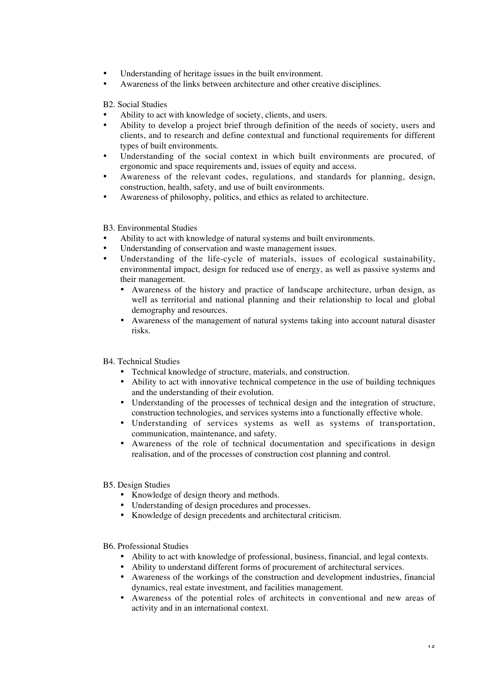- Understanding of heritage issues in the built environment.
- Awareness of the links between architecture and other creative disciplines.

B2. Social Studies

- Ability to act with knowledge of society, clients, and users.
- Ability to develop a project brief through definition of the needs of society, users and clients, and to research and define contextual and functional requirements for different types of built environments.
- Understanding of the social context in which built environments are procured, of ergonomic and space requirements and, issues of equity and access.
- Awareness of the relevant codes, regulations, and standards for planning, design, construction, health, safety, and use of built environments.
- Awareness of philosophy, politics, and ethics as related to architecture.

B3. Environmental Studies

- Ability to act with knowledge of natural systems and built environments.
- Understanding of conservation and waste management issues.
- Understanding of the life-cycle of materials, issues of ecological sustainability, environmental impact, design for reduced use of energy, as well as passive systems and their management.
	- Awareness of the history and practice of landscape architecture, urban design, as well as territorial and national planning and their relationship to local and global demography and resources.
	- Awareness of the management of natural systems taking into account natural disaster risks.
- B4. Technical Studies
	- Technical knowledge of structure, materials, and construction.
	- Ability to act with innovative technical competence in the use of building techniques and the understanding of their evolution.
	- Understanding of the processes of technical design and the integration of structure, construction technologies, and services systems into a functionally effective whole.
	- Understanding of services systems as well as systems of transportation, communication, maintenance, and safety.
	- Awareness of the role of technical documentation and specifications in design realisation, and of the processes of construction cost planning and control.
- B5. Design Studies
	- Knowledge of design theory and methods.
	- Understanding of design procedures and processes.
	- Knowledge of design precedents and architectural criticism.
- B6. Professional Studies
	- Ability to act with knowledge of professional, business, financial, and legal contexts.
	- Ability to understand different forms of procurement of architectural services.
	- Awareness of the workings of the construction and development industries, financial dynamics, real estate investment, and facilities management.
	- Awareness of the potential roles of architects in conventional and new areas of activity and in an international context.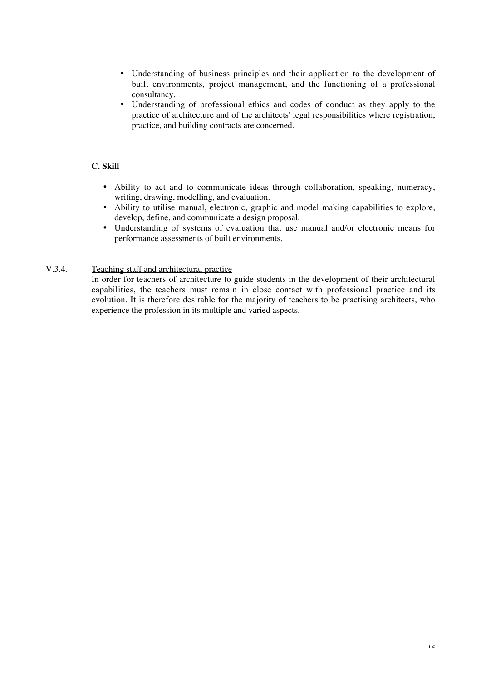- Understanding of business principles and their application to the development of built environments, project management, and the functioning of a professional consultancy.
- Understanding of professional ethics and codes of conduct as they apply to the practice of architecture and of the architects' legal responsibilities where registration, practice, and building contracts are concerned.

## **C. Skill**

- Ability to act and to communicate ideas through collaboration, speaking, numeracy, writing, drawing, modelling, and evaluation.
- Ability to utilise manual, electronic, graphic and model making capabilities to explore, develop, define, and communicate a design proposal.
- Understanding of systems of evaluation that use manual and/or electronic means for performance assessments of built environments.

## V.3.4. Teaching staff and architectural practice

In order for teachers of architecture to guide students in the development of their architectural capabilities, the teachers must remain in close contact with professional practice and its evolution. It is therefore desirable for the majority of teachers to be practising architects, who experience the profession in its multiple and varied aspects.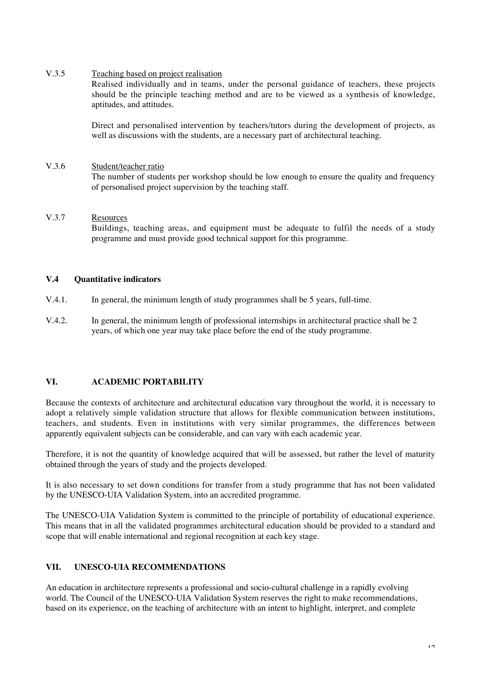#### V.3.5 Teaching based on project realisation

Realised individually and in teams, under the personal guidance of teachers, these projects should be the principle teaching method and are to be viewed as a synthesis of knowledge, aptitudes, and attitudes.

Direct and personalised intervention by teachers/tutors during the development of projects, as well as discussions with the students, are a necessary part of architectural teaching.

#### V.3.6 Student/teacher ratio

The number of students per workshop should be low enough to ensure the quality and frequency of personalised project supervision by the teaching staff.

## V.3.7 Resources

Buildings, teaching areas, and equipment must be adequate to fulfil the needs of a study programme and must provide good technical support for this programme.

## **V.4 Quantitative indicators**

- V.4.1. In general, the minimum length of study programmes shall be 5 years, full-time.
- V.4.2. In general, the minimum length of professional internships in architectural practice shall be 2 years, of which one year may take place before the end of the study programme.

#### **VI. ACADEMIC PORTABILITY**

Because the contexts of architecture and architectural education vary throughout the world, it is necessary to adopt a relatively simple validation structure that allows for flexible communication between institutions, teachers, and students. Even in institutions with very similar programmes, the differences between apparently equivalent subjects can be considerable, and can vary with each academic year.

Therefore, it is not the quantity of knowledge acquired that will be assessed, but rather the level of maturity obtained through the years of study and the projects developed.

It is also necessary to set down conditions for transfer from a study programme that has not been validated by the UNESCO-UIA Validation System, into an accredited programme.

The UNESCO-UIA Validation System is committed to the principle of portability of educational experience. This means that in all the validated programmes architectural education should be provided to a standard and scope that will enable international and regional recognition at each key stage.

## **VII. UNESCO-UIA RECOMMENDATIONS**

An education in architecture represents a professional and socio-cultural challenge in a rapidly evolving world. The Council of the UNESCO-UIA Validation System reserves the right to make recommendations, based on its experience, on the teaching of architecture with an intent to highlight, interpret, and complete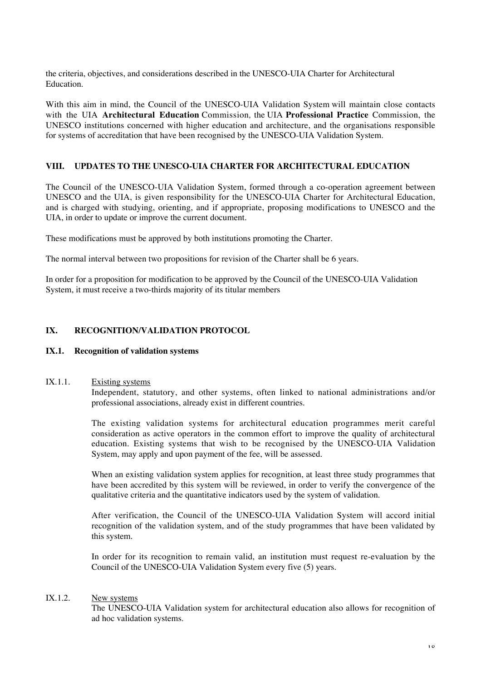the criteria, objectives, and considerations described in the UNESCO-UIA Charter for Architectural Education.

With this aim in mind, the Council of the UNESCO-UIA Validation System will maintain close contacts with the UIA **Architectural Education** Commission*,* the UIA **Professional Practice** Commission, the UNESCO institutions concerned with higher education and architecture, and the organisations responsible for systems of accreditation that have been recognised by the UNESCO-UIA Validation System.

## **VIII. UPDATES TO THE UNESCO-UIA CHARTER FOR ARCHITECTURAL EDUCATION**

The Council of the UNESCO-UIA Validation System, formed through a co-operation agreement between UNESCO and the UIA, is given responsibility for the UNESCO-UIA Charter for Architectural Education, and is charged with studying, orienting, and if appropriate, proposing modifications to UNESCO and the UIA, in order to update or improve the current document.

These modifications must be approved by both institutions promoting the Charter.

The normal interval between two propositions for revision of the Charter shall be 6 years.

In order for a proposition for modification to be approved by the Council of the UNESCO-UIA Validation System, it must receive a two-thirds majority of its titular members

## **IX. RECOGNITION/VALIDATION PROTOCOL**

#### **IX.1. Recognition of validation systems**

#### IX.1.1. Existing systems

Independent, statutory, and other systems, often linked to national administrations and/or professional associations, already exist in different countries.

The existing validation systems for architectural education programmes merit careful consideration as active operators in the common effort to improve the quality of architectural education. Existing systems that wish to be recognised by the UNESCO-UIA Validation System, may apply and upon payment of the fee, will be assessed.

When an existing validation system applies for recognition, at least three study programmes that have been accredited by this system will be reviewed, in order to verify the convergence of the qualitative criteria and the quantitative indicators used by the system of validation.

After verification, the Council of the UNESCO-UIA Validation System will accord initial recognition of the validation system, and of the study programmes that have been validated by this system.

In order for its recognition to remain valid, an institution must request re-evaluation by the Council of the UNESCO-UIA Validation System every five (5) years.

## IX.1.2. New systems

The UNESCO-UIA Validation system for architectural education also allows for recognition of ad hoc validation systems.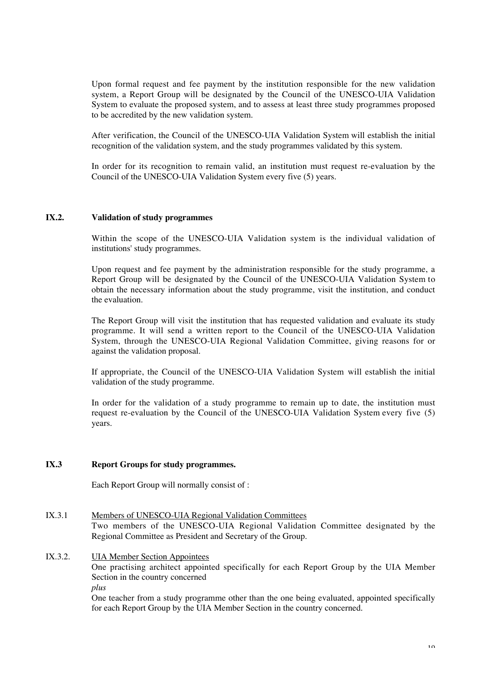Upon formal request and fee payment by the institution responsible for the new validation system, a Report Group will be designated by the Council of the UNESCO-UIA Validation System to evaluate the proposed system, and to assess at least three study programmes proposed to be accredited by the new validation system.

After verification, the Council of the UNESCO-UIA Validation System will establish the initial recognition of the validation system, and the study programmes validated by this system.

In order for its recognition to remain valid, an institution must request re-evaluation by the Council of the UNESCO-UIA Validation System every five (5) years.

#### **IX.2. Validation of study programmes**

Within the scope of the UNESCO-UIA Validation system is the individual validation of institutions' study programmes.

Upon request and fee payment by the administration responsible for the study programme, a Report Group will be designated by the Council of the UNESCO-UIA Validation System to obtain the necessary information about the study programme, visit the institution, and conduct the evaluation.

The Report Group will visit the institution that has requested validation and evaluate its study programme. It will send a written report to the Council of the UNESCO-UIA Validation System, through the UNESCO-UIA Regional Validation Committee, giving reasons for or against the validation proposal.

If appropriate, the Council of the UNESCO-UIA Validation System will establish the initial validation of the study programme.

In order for the validation of a study programme to remain up to date, the institution must request re-evaluation by the Council of the UNESCO-UIA Validation System every five (5) years.

#### **IX.3 Report Groups for study programmes.**

Each Report Group will normally consist of :

- IX.3.1 Members of UNESCO-UIA Regional Validation Committees Two members of the UNESCO-UIA Regional Validation Committee designated by the Regional Committee as President and Secretary of the Group.
- IX.3.2. UIA Member Section Appointees One practising architect appointed specifically for each Report Group by the UIA Member Section in the country concerned *plus*

One teacher from a study programme other than the one being evaluated, appointed specifically for each Report Group by the UIA Member Section in the country concerned.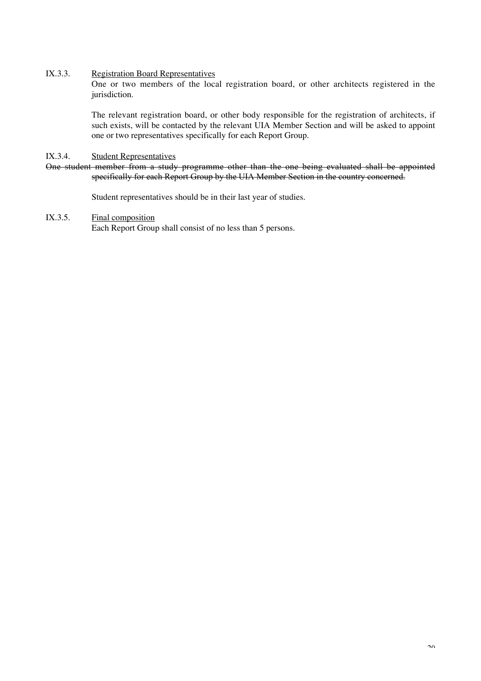#### IX.3.3. Registration Board Representatives

One or two members of the local registration board, or other architects registered in the jurisdiction.

The relevant registration board, or other body responsible for the registration of architects, if such exists, will be contacted by the relevant UIA Member Section and will be asked to appoint one or two representatives specifically for each Report Group.

## IX.3.4. Student Representatives

One student member from a study programme other than the one being evaluated shall be appointed specifically for each Report Group by the UIA Member Section in the country concerned.

Student representatives should be in their last year of studies.

## IX.3.5. Final composition

Each Report Group shall consist of no less than 5 persons.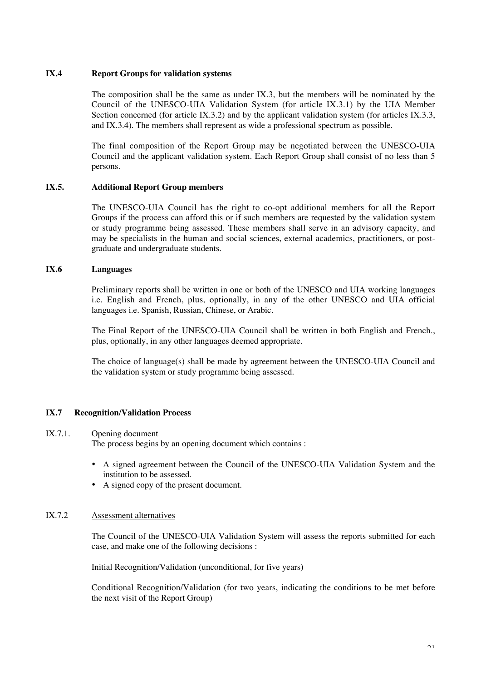#### **IX.4 Report Groups for validation systems**

The composition shall be the same as under  $IX.3$ , but the members will be nominated by the Council of the UNESCO-UIA Validation System (for article IX.3.1) by the UIA Member Section concerned (for article IX.3.2) and by the applicant validation system (for articles IX.3.3, and IX.3.4). The members shall represent as wide a professional spectrum as possible.

The final composition of the Report Group may be negotiated between the UNESCO-UIA Council and the applicant validation system. Each Report Group shall consist of no less than 5 persons.

#### **IX.5. Additional Report Group members**

The UNESCO-UIA Council has the right to co-opt additional members for all the Report Groups if the process can afford this or if such members are requested by the validation system or study programme being assessed. These members shall serve in an advisory capacity, and may be specialists in the human and social sciences, external academics, practitioners, or postgraduate and undergraduate students.

#### **IX.6 Languages**

Preliminary reports shall be written in one or both of the UNESCO and UIA working languages i.e. English and French, plus, optionally, in any of the other UNESCO and UIA official languages i.e. Spanish, Russian, Chinese, or Arabic.

The Final Report of the UNESCO-UIA Council shall be written in both English and French., plus, optionally, in any other languages deemed appropriate.

The choice of language(s) shall be made by agreement between the UNESCO-UIA Council and the validation system or study programme being assessed.

#### **IX.7 Recognition/Validation Process**

#### IX.7.1. Opening document

The process begins by an opening document which contains :

- A signed agreement between the Council of the UNESCO-UIA Validation System and the institution to be assessed.
- A signed copy of the present document.

#### IX.7.2 Assessment alternatives

The Council of the UNESCO-UIA Validation System will assess the reports submitted for each case, and make one of the following decisions :

Initial Recognition/Validation (unconditional, for five years)

Conditional Recognition/Validation (for two years, indicating the conditions to be met before the next visit of the Report Group)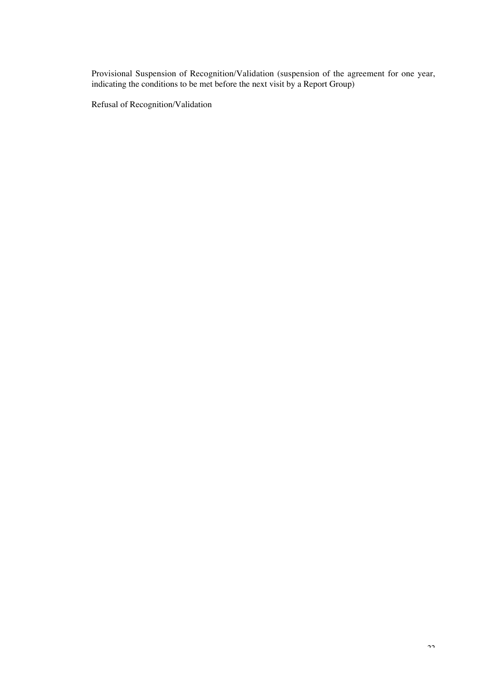Provisional Suspension of Recognition/Validation (suspension of the agreement for one year, indicating the conditions to be met before the next visit by a Report Group)

Refusal of Recognition/Validation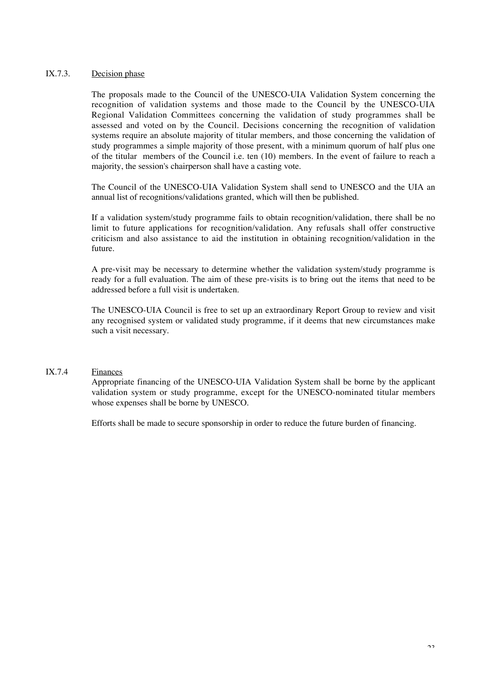## IX.7.3. Decision phase

The proposals made to the Council of the UNESCO-UIA Validation System concerning the recognition of validation systems and those made to the Council by the UNESCO-UIA Regional Validation Committees concerning the validation of study programmes shall be assessed and voted on by the Council. Decisions concerning the recognition of validation systems require an absolute majority of titular members, and those concerning the validation of study programmes a simple majority of those present, with a minimum quorum of half plus one of the titular members of the Council i.e. ten (10) members. In the event of failure to reach a majority, the session's chairperson shall have a casting vote.

The Council of the UNESCO-UIA Validation System shall send to UNESCO and the UIA an annual list of recognitions/validations granted, which will then be published.

If a validation system/study programme fails to obtain recognition/validation, there shall be no limit to future applications for recognition/validation. Any refusals shall offer constructive criticism and also assistance to aid the institution in obtaining recognition/validation in the future.

A pre-visit may be necessary to determine whether the validation system/study programme is ready for a full evaluation. The aim of these pre-visits is to bring out the items that need to be addressed before a full visit is undertaken.

The UNESCO-UIA Council is free to set up an extraordinary Report Group to review and visit any recognised system or validated study programme, if it deems that new circumstances make such a visit necessary.

## IX.7.4 Finances

Appropriate financing of the UNESCO-UIA Validation System shall be borne by the applicant validation system or study programme, except for the UNESCO-nominated titular members whose expenses shall be borne by UNESCO.

Efforts shall be made to secure sponsorship in order to reduce the future burden of financing.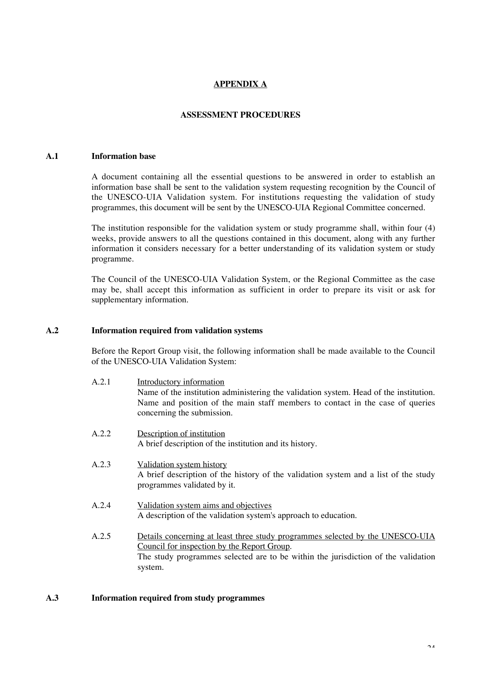## **APPENDIX A**

#### **ASSESSMENT PROCEDURES**

## **A.1 Information base**

A document containing all the essential questions to be answered in order to establish an information base shall be sent to the validation system requesting recognition by the Council of the UNESCO-UIA Validation system. For institutions requesting the validation of study programmes, this document will be sent by the UNESCO-UIA Regional Committee concerned.

The institution responsible for the validation system or study programme shall, within four (4) weeks, provide answers to all the questions contained in this document, along with any further information it considers necessary for a better understanding of its validation system or study programme.

The Council of the UNESCO-UIA Validation System, or the Regional Committee as the case may be, shall accept this information as sufficient in order to prepare its visit or ask for supplementary information.

#### **A.2 Information required from validation systems**

Before the Report Group visit, the following information shall be made available to the Council of the UNESCO-UIA Validation System:

| A.2.1 | Introductory information<br>Name of the institution administering the validation system. Head of the institution.<br>Name and position of the main staff members to contact in the case of queries<br>concerning the submission. |
|-------|----------------------------------------------------------------------------------------------------------------------------------------------------------------------------------------------------------------------------------|
| A.2.2 | Description of institution<br>A brief description of the institution and its history.                                                                                                                                            |
| A.2.3 | Validation system history<br>A brief description of the history of the validation system and a list of the study<br>programmes validated by it.                                                                                  |
| A.2.4 | Validation system aims and objectives<br>A description of the validation system's approach to education.                                                                                                                         |
| A.2.5 | Details concerning at least three study programmes selected by the UNESCO-UIA<br>Council for inspection by the Report Group.<br>The study programmes selected are to be within the jurisdiction of the validation                |

#### **A.3 Information required from study programmes**

system.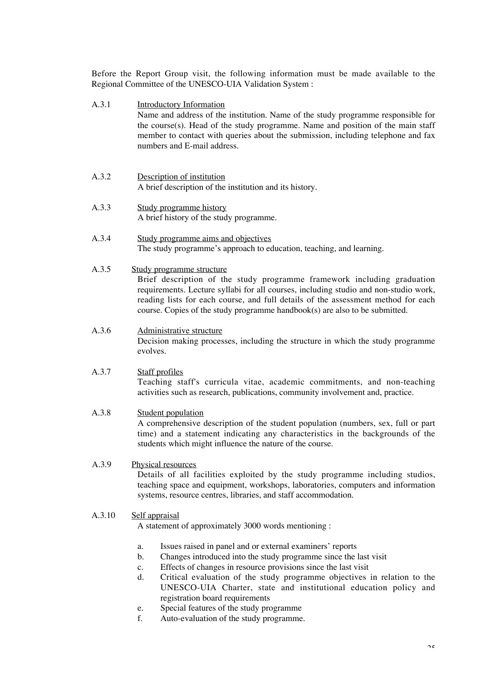Before the Report Group visit, the following information must be made available to the Regional Committee of the UNESCO-UIA Validation System :

- A.3.1 Introductory Information Name and address of the institution. Name of the study programme responsible for the course(s). Head of the study programme. Name and position of the main staff member to contact with queries about the submission, including telephone and fax numbers and E-mail address.
- A.3.2 Description of institution A brief description of the institution and its history.
- A.3.3 Study programme history A brief history of the study programme.
- A.3.4 Study programme aims and objectives The study programme's approach to education, teaching, and learning.
- A.3.5 Study programme structure

Brief description of the study programme framework including graduation requirements. Lecture syllabi for all courses, including studio and non-studio work, reading lists for each course, and full details of the assessment method for each course. Copies of the study programme handbook(s) are also to be submitted.

A.3.6 Administrative structure

Decision making processes, including the structure in which the study programme evolves.

#### A.3.7 Staff profiles

Teaching staff's curricula vitae, academic commitments, and non-teaching activities such as research, publications, community involvement and, practice.

#### A.3.8 Student population

A comprehensive description of the student population (numbers, sex, full or part time) and a statement indicating any characteristics in the backgrounds of the students which might influence the nature of the course.

## A.3.9 Physical resources

Details of all facilities exploited by the study programme including studios, teaching space and equipment, workshops, laboratories, computers and information systems, resource centres, libraries, and staff accommodation.

## A.3.10 Self appraisal

A statement of approximately 3000 words mentioning :

- a. Issues raised in panel and or external examiners' reports
- b. Changes introduced into the study programme since the last visit
- c. Effects of changes in resource provisions since the last visit
- d. Critical evaluation of the study programme objectives in relation to the UNESCO-UIA Charter, state and institutional education policy and registration board requirements
- e. Special features of the study programme
- f. Auto-evaluation of the study programme.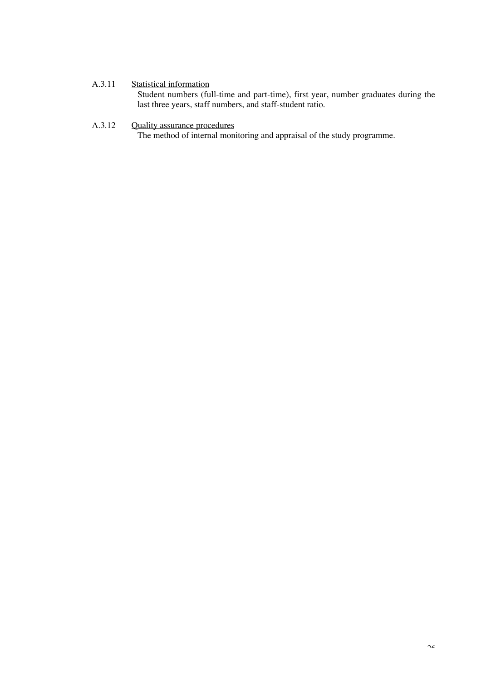# A.3.11 Statistical information

Student numbers (full-time and part-time), first year, number graduates during the last three years, staff numbers, and staff-student ratio.

# A.3.12 Quality assurance procedures

The method of internal monitoring and appraisal of the study programme.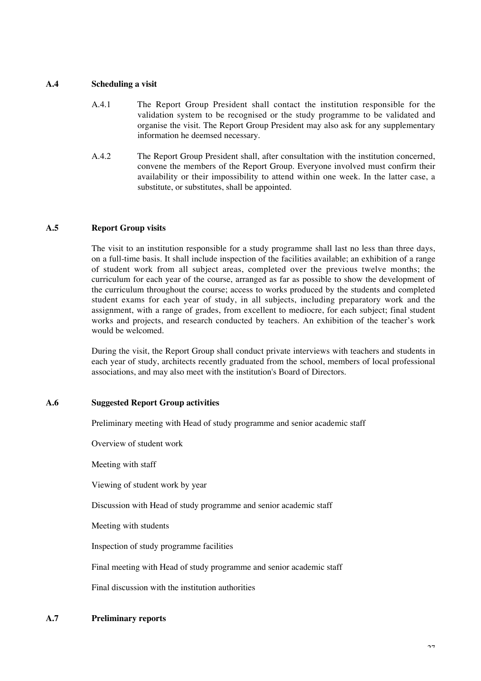#### **A.4 Scheduling a visit**

- A.4.1 The Report Group President shall contact the institution responsible for the validation system to be recognised or the study programme to be validated and organise the visit. The Report Group President may also ask for any supplementary information he deemsed necessary.
- A.4.2 The Report Group President shall, after consultation with the institution concerned, convene the members of the Report Group. Everyone involved must confirm their availability or their impossibility to attend within one week. In the latter case, a substitute, or substitutes, shall be appointed.

#### **A.5 Report Group visits**

The visit to an institution responsible for a study programme shall last no less than three days, on a full-time basis. It shall include inspection of the facilities available; an exhibition of a range of student work from all subject areas, completed over the previous twelve months; the curriculum for each year of the course, arranged as far as possible to show the development of the curriculum throughout the course; access to works produced by the students and completed student exams for each year of study, in all subjects, including preparatory work and the assignment, with a range of grades, from excellent to mediocre, for each subject; final student works and projects, and research conducted by teachers. An exhibition of the teacher's work would be welcomed.

During the visit, the Report Group shall conduct private interviews with teachers and students in each year of study, architects recently graduated from the school, members of local professional associations, and may also meet with the institution's Board of Directors.

#### **A.6 Suggested Report Group activities**

Preliminary meeting with Head of study programme and senior academic staff

Overview of student work

Meeting with staff

Viewing of student work by year

Discussion with Head of study programme and senior academic staff

Meeting with students

Inspection of study programme facilities

Final meeting with Head of study programme and senior academic staff

Final discussion with the institution authorities

#### **A.7 Preliminary reports**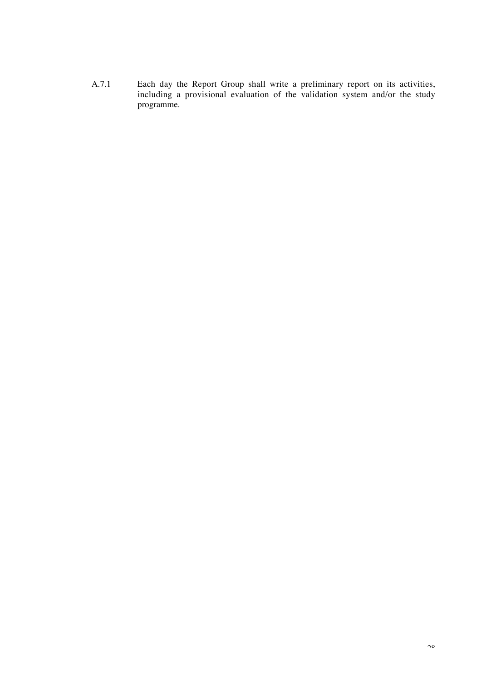A.7.1 Each day the Report Group shall write a preliminary report on its activities, including a provisional evaluation of the validation system and/or the study programme.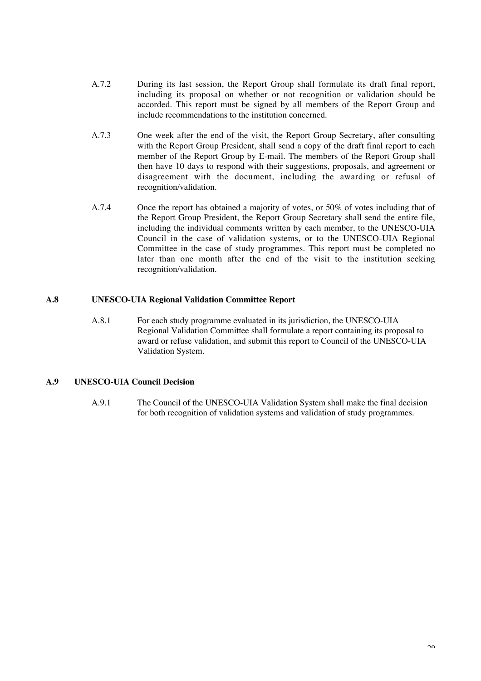- A.7.2 During its last session, the Report Group shall formulate its draft final report, including its proposal on whether or not recognition or validation should be accorded. This report must be signed by all members of the Report Group and include recommendations to the institution concerned.
- A.7.3 One week after the end of the visit, the Report Group Secretary, after consulting with the Report Group President, shall send a copy of the draft final report to each member of the Report Group by E-mail. The members of the Report Group shall then have 10 days to respond with their suggestions, proposals, and agreement or disagreement with the document, including the awarding or refusal of recognition/validation.
- A.7.4 Once the report has obtained a majority of votes, or 50% of votes including that of the Report Group President, the Report Group Secretary shall send the entire file, including the individual comments written by each member, to the UNESCO-UIA Council in the case of validation systems, or to the UNESCO-UIA Regional Committee in the case of study programmes. This report must be completed no later than one month after the end of the visit to the institution seeking recognition/validation.

## **A.8 UNESCO-UIA Regional Validation Committee Report**

A.8.1 For each study programme evaluated in its jurisdiction, the UNESCO-UIA Regional Validation Committee shall formulate a report containing its proposal to award or refuse validation, and submit this report to Council of the UNESCO-UIA Validation System.

#### **A.9 UNESCO-UIA Council Decision**

A.9.1 The Council of the UNESCO-UIA Validation System shall make the final decision for both recognition of validation systems and validation of study programmes.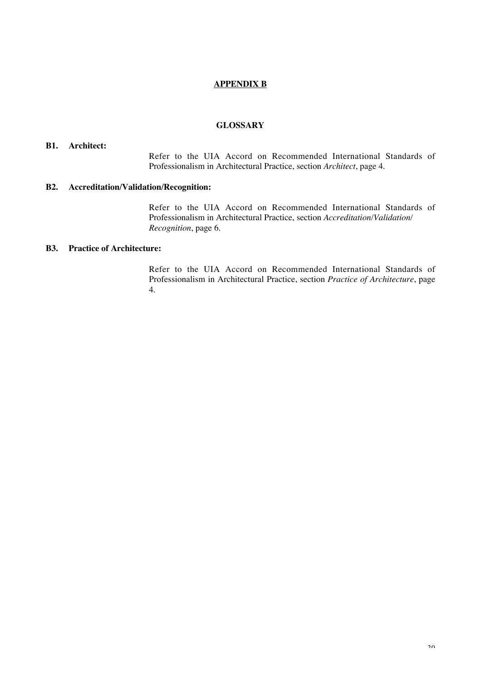## **APPENDIX B**

#### **GLOSSARY**

#### **B1. Architect:**

Refer to the UIA Accord on Recommended International Standards of Professionalism in Architectural Practice, section *Architect*, page 4.

#### **B2. Accreditation/Validation/Recognition:**

Refer to the UIA Accord on Recommended International Standards of Professionalism in Architectural Practice, section *Accreditation/Validation/ Recognition*, page 6.

#### **B3. Practice of Architecture:**

Refer to the UIA Accord on Recommended International Standards of Professionalism in Architectural Practice, section *Practice of Architecture*, page 4.